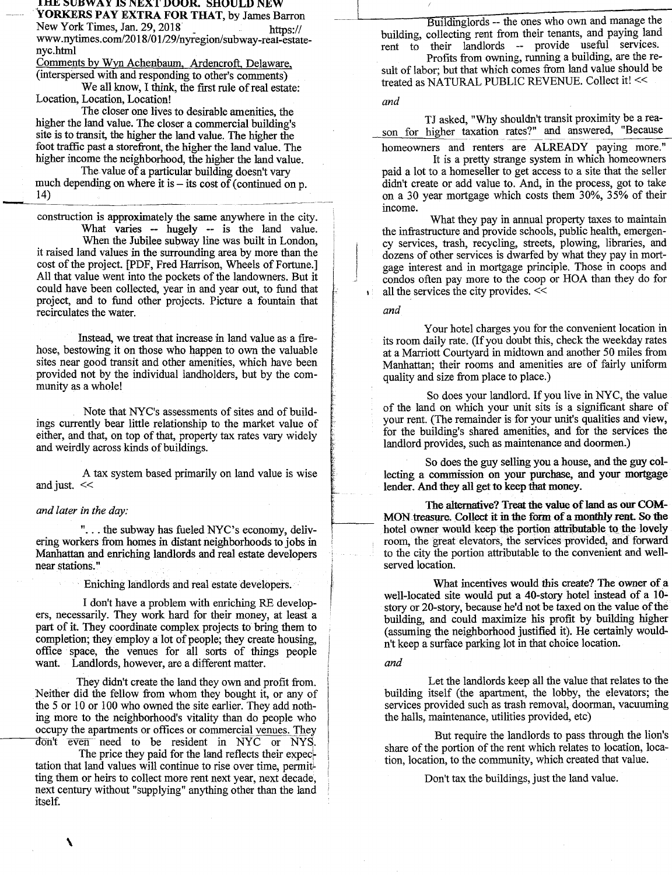IHE SUBWAY IS NEXT DOOR. SHOULD NEW **YORKERS PAY EXTRA FOR THAT,** by James Barron

New York Times, Jan. 29, 2018 https:// www.nytimes.com/2018/01/29/nyregion/subway-reai-estatenyc.btmI

Comments by Wyn Achenbaum, Ardencroft, Delaware, (interspersed with and responding to other's comments)

We all know, I think, the first rule of real estate: Location, Location, Location!

The closer one lives to desirable amenities, the higher the land value. The closer a commercial building's site is to transit, the higher the land value. The higher the foot traffic past a storefront, the higher the land value. The higher income the neighborhood, the higher the land value.

The value of a particular building doesn't vary much depending on where it is  $-$  its cost of (continued on p.  $14)$ 

construction is approximately the same anywhere in the city. What varies -- hugely -- is the land value.

When the Jubilee subway line was built in London, it raised land values in the surrounding area by more than the cost of the project. [PDF, Fred Harrison, Wheels of Fortune.] All that value went into the pockets of the landowners. But it could have been collected, year in and year out, to fund that project, and to fund other projects. Picture a fountain that recirculates the water.

Instead, we treat that increase in land value as a firehose, bestowing it on those who happen to own the valuable sites near good transit and other amenities, which have been provided not by the individual landholders, but by the community as a whole!

Note that NYC's assessments of sites and of buildings currently bear little relationship to the market value of either, and that, on top of that, property tax rates vary widely and weirdly across kinds of buildings.

A tax system based primarily on land value is wise and just. <<

## *and later in the day:*

"... the subway has fueled NYC's economy, delivering workers from homes in distant neighborhoods to jobs in Manhattan and enriching landlords and real estate developers near stations."

Eniching landlords and real estate developers.

I don't have a problem with enriching RE developers, necessarily. They work hard for their money, at least a part of it. They coordinate complex projects to bring them to completion; they employ a lot of people; they create housing, office space, the venues for all sorts of things people want. Landlords, however, are a different matter.

They didn't create the land they own and profit from. Neither did the fellow from whom they bought it, or any of the *5* or 10 or 100 who owned the site earlier. They add nothing more to the neighborhood's vitality than do people who occupy the apartments or offices or commercial venues. They don't even need to be resident in NYC or NYS.

The price they paid for the land reflects their expec tation that land values will continue to rise over time, permitting them or heirs to collect more rent next year, next decade, next century without "supplying" anything other than the land itself.

Buildinglords -- the ones who own and manage the building, collecting rent from their tenants, and paying land rent to their landlords -- provide useful services.

Profits from owning, running a building, are the result of labor; but that which comes from land value should be treated as NATURAL PUBLIC REVENUE. Collect it! <<

## *and*

TJ asked, "Why shouldn't transit proximity be a reason for higher taxation rates?" and answered, "Because

homeowners and renters are ALREADY paying more."

It is a pretty strange system in which homeowners paid a lot to a homeseller to get access to a site that the seller didn't create or add value to. And, in the process, got to take on a 30 year mortgage which costs them 30%, 35% of their income.

What they pay in annual property taxes to maintain the infrastructure and provide schools, public health, emergency services, trash, recycling, streets, plowing, libraries, and dozens of other services is dwarfed by what they pay in mortgage interest and in mortgage principle. Those in coops and condos often pay more to the coop or HOA than they do for all the services the city provides. <<

*and* 

Your hotel charges you for the convenient location in its room daily rate. (If you doubt this, check the weekday rates at a Marriott Courtyard in midtown and another 50 miles from Manhattan; their rooms and amenities are of fairly uniform quality and size from place to place.)

So does your landlord. If you live in NYC, the value of the land on which your unit sits is a significant share of your rent. (The remainder is for your unit's qualities and view, for the building's shared amenities, and for the services the landlord provides, such as maintenance and doormen.)

So does the guy selling you a house, and the guy collecting a commission on your purchase, and your mortgage lender. And they all get to keep that money.

The alternative? Treat the **value of land as our COM-**MON treasure. Collect **it in the form of a monthly rent So the**  hotel owner would keep the portion attributable to the lovely room, the great elevators, the services provided, and forward to the city the portion attributable to the convenient and wellserved location.

What incentives would this create? The owner of a well-located site would put a 40-story hotel instead of a 10 story or 20-story, because he'd not be taxed on the value of the building, and could maximize his profit by building higher (assuming the neighborhood justified it). He certainly wouldn't keep a surface parking lot in that choice location.

*and* 

Let the landlords keep all the value that relates to the building itself (the apartment, the lobby, the elevators; the services provided such as trash removal, doorman, vacuuming the halls, maintenance, utilities provided, etc)

But require the landlords to pass through the lion's share of the portion of the rent which relates to location, location, location, to the community, which created that value.

Don't tax the buildings, just the land value.